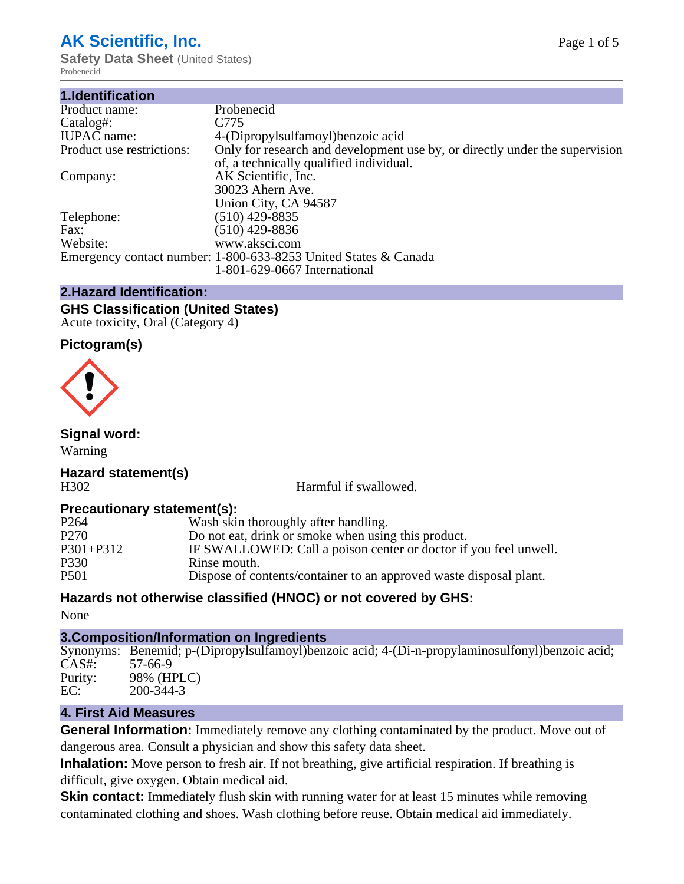## **AK Scientific, Inc.**

**Safety Data Sheet** (United States) Probenecid

| 1.Identification          |                                                                             |
|---------------------------|-----------------------------------------------------------------------------|
| Product name:             | Probenecid                                                                  |
| Catalog#:                 | C <sub>775</sub>                                                            |
| <b>IUPAC</b> name:        | 4-(Dipropylsulfamoyl) benzoic acid                                          |
| Product use restrictions: | Only for research and development use by, or directly under the supervision |
|                           | of, a technically qualified individual.                                     |
| Company:                  | AK Scientific, Inc.                                                         |
|                           | 30023 Ahern Ave.                                                            |
|                           | Union City, CA 94587                                                        |
| Telephone:                | $(510)$ 429-8835                                                            |
| Fax:                      | $(510)$ 429-8836                                                            |
| Website:                  | www.aksci.com                                                               |
|                           | Emergency contact number: 1-800-633-8253 United States & Canada             |
|                           | 1-801-629-0667 International                                                |

## **2.Hazard Identification:**

#### **GHS Classification (United States)** Acute toxicity, Oral (Category 4)

### **Pictogram(s)**



## **Signal word:**

Warning

#### **Hazard statement(s)** H302 Harmful if swallowed.

### **Precautionary statement(s):**

| P <sub>264</sub> | Wash skin thoroughly after handling.                               |
|------------------|--------------------------------------------------------------------|
| P <sub>270</sub> | Do not eat, drink or smoke when using this product.                |
| $P301 + P312$    | IF SWALLOWED: Call a poison center or doctor if you feel unwell.   |
| P330             | Rinse mouth.                                                       |
| P <sub>501</sub> | Dispose of contents/container to an approved waste disposal plant. |
|                  |                                                                    |

## **Hazards not otherwise classified (HNOC) or not covered by GHS:**

None

### **3.Composition/Information on Ingredients**

Synonyms: Benemid; p-(Dipropylsulfamoyl)benzoic acid; 4-(Di-n-propylaminosulfonyl)benzoic acid; CAS#: 57-66-9 Purity: 98% (HPLC) EC: 200-344-3

### **4. First Aid Measures**

**General Information:** Immediately remove any clothing contaminated by the product. Move out of dangerous area. Consult a physician and show this safety data sheet.

**Inhalation:** Move person to fresh air. If not breathing, give artificial respiration. If breathing is difficult, give oxygen. Obtain medical aid.

**Skin contact:** Immediately flush skin with running water for at least 15 minutes while removing contaminated clothing and shoes. Wash clothing before reuse. Obtain medical aid immediately.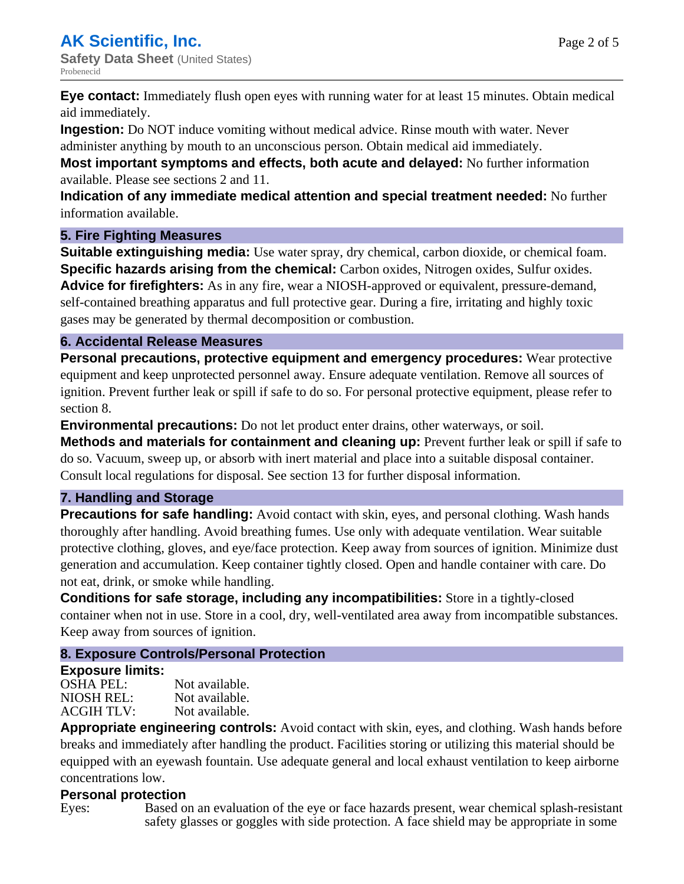**Eye contact:** Immediately flush open eyes with running water for at least 15 minutes. Obtain medical

aid immediately. **Ingestion:** Do NOT induce vomiting without medical advice. Rinse mouth with water. Never administer anything by mouth to an unconscious person. Obtain medical aid immediately.

**Most important symptoms and effects, both acute and delayed:** No further information available. Please see sections 2 and 11.

**Indication of any immediate medical attention and special treatment needed:** No further information available.

### **5. Fire Fighting Measures**

**Suitable extinguishing media:** Use water spray, dry chemical, carbon dioxide, or chemical foam. **Specific hazards arising from the chemical:** Carbon oxides, Nitrogen oxides, Sulfur oxides. **Advice for firefighters:** As in any fire, wear a NIOSH-approved or equivalent, pressure-demand, self-contained breathing apparatus and full protective gear. During a fire, irritating and highly toxic gases may be generated by thermal decomposition or combustion.

## **6. Accidental Release Measures**

**Personal precautions, protective equipment and emergency procedures:** Wear protective equipment and keep unprotected personnel away. Ensure adequate ventilation. Remove all sources of ignition. Prevent further leak or spill if safe to do so. For personal protective equipment, please refer to section 8.

**Environmental precautions:** Do not let product enter drains, other waterways, or soil.

**Methods and materials for containment and cleaning up:** Prevent further leak or spill if safe to do so. Vacuum, sweep up, or absorb with inert material and place into a suitable disposal container. Consult local regulations for disposal. See section 13 for further disposal information.

### **7. Handling and Storage**

**Precautions for safe handling:** Avoid contact with skin, eyes, and personal clothing. Wash hands thoroughly after handling. Avoid breathing fumes. Use only with adequate ventilation. Wear suitable protective clothing, gloves, and eye/face protection. Keep away from sources of ignition. Minimize dust generation and accumulation. Keep container tightly closed. Open and handle container with care. Do not eat, drink, or smoke while handling.

**Conditions for safe storage, including any incompatibilities:** Store in a tightly-closed container when not in use. Store in a cool, dry, well-ventilated area away from incompatible substances. Keep away from sources of ignition.

## **8. Exposure Controls/Personal Protection**

### **Exposure limits:**

OSHA PEL: Not available. NIOSH REL: Not available.<br>ACGIH TLV: Not available. ACGIH TLV:

**Appropriate engineering controls:** Avoid contact with skin, eyes, and clothing. Wash hands before breaks and immediately after handling the product. Facilities storing or utilizing this material should be equipped with an eyewash fountain. Use adequate general and local exhaust ventilation to keep airborne concentrations low.

## **Personal protection**

Eyes: Based on an evaluation of the eye or face hazards present, wear chemical splash-resistant safety glasses or goggles with side protection. A face shield may be appropriate in some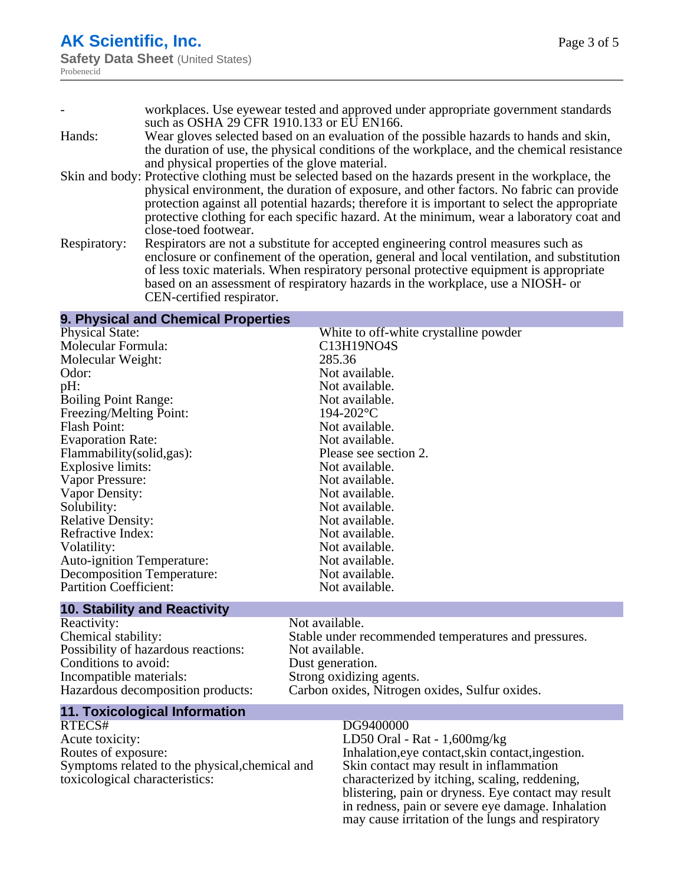|              | workplaces. Use eyewear tested and approved under appropriate government standards<br>such as OSHA 29 CFR 1910.133 or EU EN166.                                                                                                                                                                                                                                                                                         |
|--------------|-------------------------------------------------------------------------------------------------------------------------------------------------------------------------------------------------------------------------------------------------------------------------------------------------------------------------------------------------------------------------------------------------------------------------|
| Hands:       | Wear gloves selected based on an evaluation of the possible hazards to hands and skin,<br>the duration of use, the physical conditions of the workplace, and the chemical resistance                                                                                                                                                                                                                                    |
|              | and physical properties of the glove material.                                                                                                                                                                                                                                                                                                                                                                          |
|              | Skin and body: Protective clothing must be selected based on the hazards present in the workplace, the<br>physical environment, the duration of exposure, and other factors. No fabric can provide<br>protection against all potential hazards; therefore it is important to select the appropriate<br>protective clothing for each specific hazard. At the minimum, wear a laboratory coat and<br>close-toed footwear. |
| Respiratory: | Respirators are not a substitute for accepted engineering control measures such as<br>enclosure or confinement of the operation, general and local ventilation, and substitution<br>of less toxic materials. When respiratory personal protective equipment is appropriate<br>based on an assessment of respiratory hazards in the workplace, use a NIOSH- or<br>CEN-certified respirator.                              |

### **9. Physical and Chemical Properties**

| <b>Physical State:</b>                                 | White to off-white crystalline powder |
|--------------------------------------------------------|---------------------------------------|
| Molecular Formula:                                     | C13H19NO4S                            |
| Molecular Weight:                                      | 285.36                                |
| Odor:                                                  | Not available.                        |
| pH:                                                    | Not available.                        |
| <b>Boiling Point Range:</b>                            | Not available.                        |
| Freezing/Melting Point:                                | 194-202°C                             |
| <b>Flash Point:</b>                                    | Not available.                        |
| <b>Evaporation Rate:</b>                               | Not available.                        |
| Flammability(solid,gas):                               | Please see section 2.                 |
| Explosive limits:                                      | Not available.                        |
| Vapor Pressure:                                        | Not available.                        |
| Vapor Density:                                         | Not available.                        |
| Solubility:                                            | Not available.                        |
| <b>Relative Density:</b>                               | Not available.                        |
| Refractive Index:                                      | Not available.                        |
| Volatility:                                            | Not available.                        |
| <b>Auto-ignition Temperature:</b>                      | Not available.                        |
| <b>Decomposition Temperature:</b>                      | Not available.                        |
| <b>Partition Coefficient:</b>                          | Not available.                        |
| <b><i>Allen Andrews Administration</i></b><br>.<br>. . |                                       |

# **10. Stability and Reactivity**

Reactivity: Not available.<br>
Chemical stability: Stable under re Possibility of hazardous reactions: Not available.<br>Conditions to avoid: Dust generation. Conditions to avoid:<br>Incompatible materials: Incompatible materials: Strong oxidizing agents.<br>Hazardous decomposition products: Carbon oxides, Nitrogen

Stable under recommended temperatures and pressures. Carbon oxides, Nitrogen oxides, Sulfur oxides.

# **11. Toxicological Information**

Acute toxicity: LD50 Oral - Rat - 1,600mg/kg Routes of exposure: Inhalation,eye contact,skin contact,ingestion. Symptoms related to the physical,chemical and toxicological characteristics:

#### DG9400000

Skin contact may result in inflammation characterized by itching, scaling, reddening, blistering, pain or dryness. Eye contact may result in redness, pain or severe eye damage. Inhalation may cause irritation of the lungs and respiratory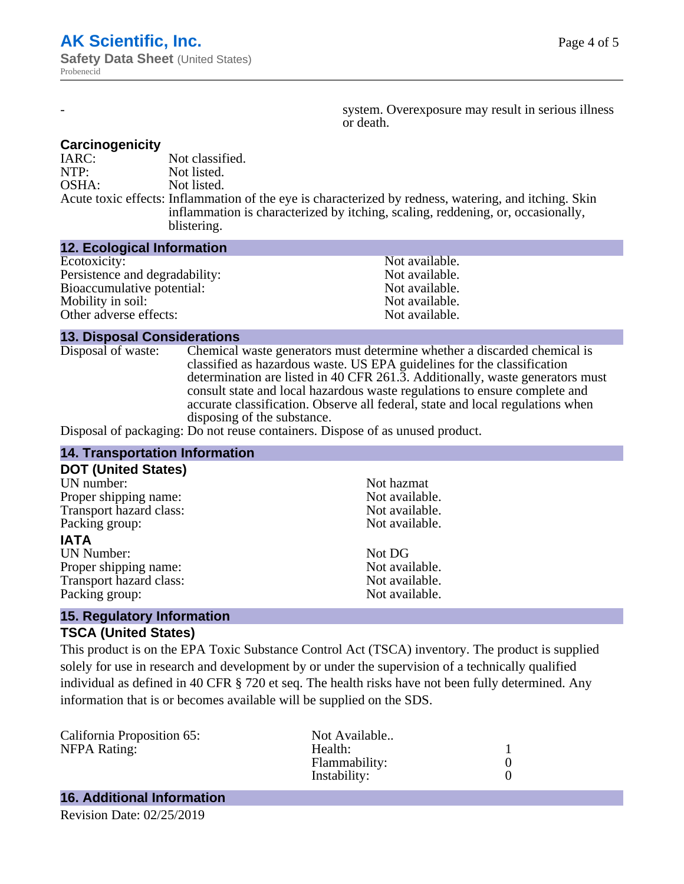system. Overexposure may result in serious illness or death.

#### **Carcinogenicity**

IARC: Not classified.<br>
NOTP: Not listed. Not listed. OSHA: Not listed. Acute toxic effects: Inflammation of the eye is characterized by redness, watering, and itching. Skin inflammation is characterized by itching, scaling, reddening, or, occasionally, blistering.

#### **12. Ecological Information**

| Not available. |
|----------------|
| Not available. |
| Not available. |
| Not available. |
| Not available. |
|                |

#### **13. Disposal Considerations**

Disposal of waste: Chemical waste generators must determine whether a discarded chemical is classified as hazardous waste. US EPA guidelines for the classification determination are listed in 40 CFR 261.3. Additionally, waste generators must consult state and local hazardous waste regulations to ensure complete and accurate classification. Observe all federal, state and local regulations when disposing of the substance.

Disposal of packaging: Do not reuse containers. Dispose of as unused product.

| <b>14. Transportation Information</b> |                |  |
|---------------------------------------|----------------|--|
| <b>DOT (United States)</b>            |                |  |
| UN number:                            | Not hazmat     |  |
| Proper shipping name:                 | Not available. |  |
| Transport hazard class:               | Not available. |  |
| Packing group:                        | Not available. |  |
| <b>IATA</b>                           |                |  |
| <b>UN Number:</b>                     | Not DG         |  |
| Proper shipping name:                 | Not available. |  |
| Transport hazard class:               | Not available. |  |
| Packing group:                        | Not available. |  |
| <b>15 Degulatory Information</b>      |                |  |

#### **15. Regulatory Information TSCA (United States)**

This product is on the EPA Toxic Substance Control Act (TSCA) inventory. The product is supplied solely for use in research and development by or under the supervision of a technically qualified individual as defined in 40 CFR § 720 et seq. The health risks have not been fully determined. Any information that is or becomes available will be supplied on the SDS.

| California Proposition 65: | Not Available |  |
|----------------------------|---------------|--|
| NFPA Rating:               | Health:       |  |
|                            | Flammability: |  |
|                            | Instability:  |  |
|                            |               |  |

## **16. Additional Information**

Revision Date: 02/25/2019